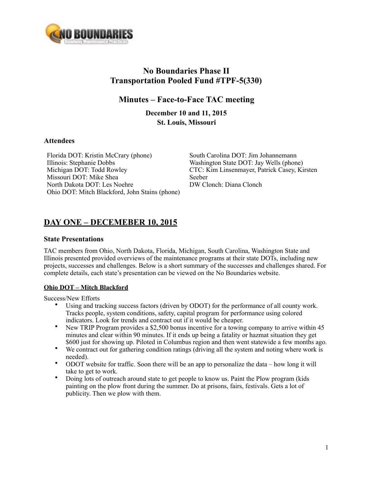

# **No Boundaries Phase II Transportation Pooled Fund #TPF-5(330)**

## **Minutes – Face-to-Face TAC meeting**

**December 10 and 11, 2015 St. Louis, Missouri** 

### **Attendees**

Florida DOT: Kristin McCrary (phone) Illinois: Stephanie Dobbs Michigan DOT: Todd Rowley Missouri DOT: Mike Shea North Dakota DOT: Les Noehre Ohio DOT: Mitch Blackford, John Stains (phone)

South Carolina DOT: Jim Johannemann Washington State DOT: Jay Wells (phone) CTC: Kim Linsenmayer, Patrick Casey, Kirsten Seeber DW Clonch: Diana Clonch

## **DAY ONE – DECEMEBER 10, 2015**

### **State Presentations**

TAC members from Ohio, North Dakota, Florida, Michigan, South Carolina, Washington State and Illinois presented provided overviews of the maintenance programs at their state DOTs, including new projects, successes and challenges. Below is a short summary of the successes and challenges shared. For complete details, each state's presentation can be viewed on the No Boundaries website.

## **Ohio DOT – Mitch Blackford**

Success/New Efforts

- Using and tracking success factors (driven by ODOT) for the performance of all county work. Tracks people, system conditions, safety, capital program for performance using colored indicators. Look for trends and contract out if it would be cheaper.
- New TRIP Program provides a \$2,500 bonus incentive for a towing company to arrive within 45 minutes and clear within 90 minutes. If it ends up being a fatality or hazmat situation they get \$600 just for showing up. Piloted in Columbus region and then went statewide a few months ago.
- We contract out for gathering condition ratings (driving all the system and noting where work is needed).
- ODOT website for traffic. Soon there will be an app to personalize the data how long it will take to get to work.
- Doing lots of outreach around state to get people to know us. Paint the Plow program (kids painting on the plow front during the summer. Do at prisons, fairs, festivals. Gets a lot of publicity. Then we plow with them.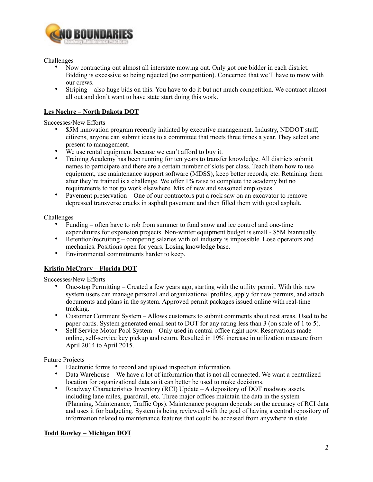

Challenges

- Now contracting out almost all interstate mowing out. Only got one bidder in each district. Bidding is excessive so being rejected (no competition). Concerned that we'll have to mow with our crews.
- Striping also huge bids on this. You have to do it but not much competition. We contract almost all out and don't want to have state start doing this work.

### **Les Noehre – North Dakota DOT**

Successes/New Efforts

- \$5M innovation program recently initiated by executive management. Industry, NDDOT staff, citizens, anyone can submit ideas to a committee that meets three times a year. They select and present to management.
- We use rental equipment because we can't afford to buy it.
- Training Academy has been running for ten years to transfer knowledge. All districts submit names to participate and there are a certain number of slots per class. Teach them how to use equipment, use maintenance support software (MDSS), keep better records, etc. Retaining them after they're trained is a challenge. We offer 1% raise to complete the academy but no requirements to not go work elsewhere. Mix of new and seasoned employees.
- Pavement preservation One of our contractors put a rock saw on an excavator to remove depressed transverse cracks in asphalt pavement and then filled them with good asphalt.

Challenges

- Funding often have to rob from summer to fund snow and ice control and one-time expenditures for expansion projects. Non-winter equipment budget is small - \$5M biannually.
- Retention/recruiting competing salaries with oil industry is impossible. Lose operators and mechanics. Positions open for years. Losing knowledge base.
- Environmental commitments harder to keep.

## **Kristin McCrary – Florida DOT**

Successes/New Efforts

- One-stop Permitting Created a few years ago, starting with the utility permit. With this new system users can manage personal and organizational profiles, apply for new permits, and attach documents and plans in the system. Approved permit packages issued online with real-time tracking.
- Customer Comment System Allows customers to submit comments about rest areas. Used to be paper cards. System generated email sent to DOT for any rating less than 3 (on scale of 1 to 5).
- Self Service Motor Pool System Only used in central office right now. Reservations made online, self-service key pickup and return. Resulted in 19% increase in utilization measure from April 2014 to April 2015.

Future Projects

- Electronic forms to record and upload inspection information.
- Data Warehouse We have a lot of information that is not all connected. We want a centralized location for organizational data so it can better be used to make decisions.
- Roadway Characteristics Inventory (RCI) Update A depository of DOT roadway assets, including lane miles, guardrail, etc. Three major offices maintain the data in the system (Planning, Maintenance, Traffic Ops). Maintenance program depends on the accuracy of RCI data and uses it for budgeting. System is being reviewed with the goal of having a central repository of information related to maintenance features that could be accessed from anywhere in state.

### **Todd Rowley – Michigan DOT**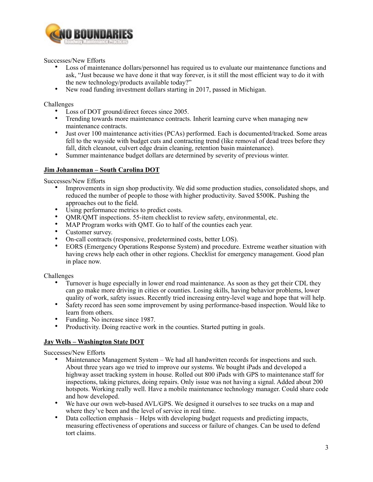

Successes/New Efforts

- Loss of maintenance dollars/personnel has required us to evaluate our maintenance functions and ask, "Just because we have done it that way forever, is it still the most efficient way to do it with the new technology/products available today?"
- New road funding investment dollars starting in 2017, passed in Michigan.

Challenges

- Loss of DOT ground/direct forces since 2005.
- Trending towards more maintenance contracts. Inherit learning curve when managing new maintenance contracts.
- Just over 100 maintenance activities (PCAs) performed. Each is documented/tracked. Some areas fell to the wayside with budget cuts and contracting trend (like removal of dead trees before they fall, ditch cleanout, culvert edge drain cleaning, retention basin maintenance).
- Summer maintenance budget dollars are determined by severity of previous winter.

### **Jim Johanneman – South Carolina DOT**

Successes/New Efforts

- Improvements in sign shop productivity. We did some production studies, consolidated shops, and reduced the number of people to those with higher productivity. Saved \$500K. Pushing the approaches out to the field.
- Using performance metrics to predict costs.
- QMR/QMT inspections. 55-item checklist to review safety, environmental, etc.
- MAP Program works with OMT. Go to half of the counties each year.
- Customer survey.
- On-call contracts (responsive, predetermined costs, better LOS).
- EORS (Emergency Operations Response System) and procedure. Extreme weather situation with having crews help each other in other regions. Checklist for emergency management. Good plan in place now.

Challenges

- Turnover is huge especially in lower end road maintenance. As soon as they get their CDL they can go make more driving in cities or counties. Losing skills, having behavior problems, lower quality of work, safety issues. Recently tried increasing entry-level wage and hope that will help.
- Safety record has seen some improvement by using performance-based inspection. Would like to learn from others.
- Funding. No increase since 1987.
- Productivity. Doing reactive work in the counties. Started putting in goals.

## **Jay Wells – Washington State DOT**

Successes/New Efforts

- Maintenance Management System We had all handwritten records for inspections and such. About three years ago we tried to improve our systems. We bought iPads and developed a highway asset tracking system in house. Rolled out 800 iPads with GPS to maintenance staff for inspections, taking pictures, doing repairs. Only issue was not having a signal. Added about 200 hotspots. Working really well. Have a mobile maintenance technology manager. Could share code and how developed.
- We have our own web-based AVL/GPS. We designed it ourselves to see trucks on a map and where they've been and the level of service in real time.
- Data collection emphasis Helps with developing budget requests and predicting impacts, measuring effectiveness of operations and success or failure of changes. Can be used to defend tort claims.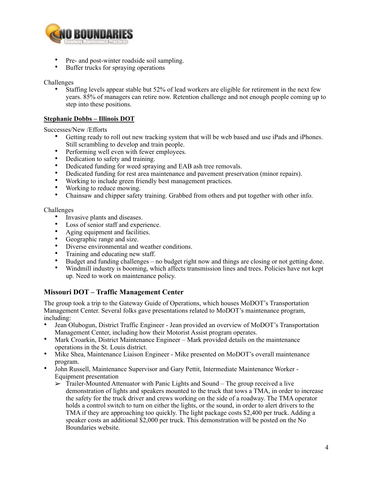

- Pre- and post-winter roadside soil sampling.
- Buffer trucks for spraying operations

Challenges

Staffing levels appear stable but 52% of lead workers are eligible for retirement in the next few years. 85% of managers can retire now. Retention challenge and not enough people coming up to step into these positions.

### **Stephanie Dobbs – Illinois DOT**

Successes/New /Efforts

- Getting ready to roll out new tracking system that will be web based and use iPads and iPhones. Still scrambling to develop and train people.
- Performing well even with fewer employees.
- Dedication to safety and training.
- Dedicated funding for weed spraying and EAB ash tree removals.
- Dedicated funding for rest area maintenance and pavement preservation (minor repairs).
- Working to include green friendly best management practices.
- Working to reduce mowing.<br>• Chainsaw and chinner safety
- Chainsaw and chipper safety training. Grabbed from others and put together with other info.

#### Challenges

- Invasive plants and diseases.
- Loss of senior staff and experience.
- Aging equipment and facilities.
- Geographic range and size.
- Diverse environmental and weather conditions.
- Training and educating new staff.
- Budget and funding challenges no budget right now and things are closing or not getting done.
- Windmill industry is booming, which affects transmission lines and trees. Policies have not kept up. Need to work on maintenance policy.

## **Missouri DOT – Traffic Management Center**

The group took a trip to the Gateway Guide of Operations, which houses MoDOT's Transportation Management Center. Several folks gave presentations related to MoDOT's maintenance program, including:

- Jean Olubogun, District Traffic Engineer Jean provided an overview of MoDOT's Transportation Management Center, including how their Motorist Assist program operates.
- Mark Croarkin, District Maintenance Engineer Mark provided details on the maintenance operations in the St. Louis district.
- Mike Shea, Maintenance Liaison Engineer Mike presented on MoDOT's overall maintenance program.
- John Russell, Maintenance Supervisor and Gary Pettit, Intermediate Maintenance Worker Equipment presentation
	- $\triangleright$  Trailer-Mounted Attenuator with Panic Lights and Sound The group received a live demonstration of lights and speakers mounted to the truck that tows a TMA, in order to increase the safety for the truck driver and crews working on the side of a roadway. The TMA operator holds a control switch to turn on either the lights, or the sound, in order to alert drivers to the TMA if they are approaching too quickly. The light package costs \$2,400 per truck. Adding a speaker costs an additional \$2,000 per truck. This demonstration will be posted on the No Boundaries website.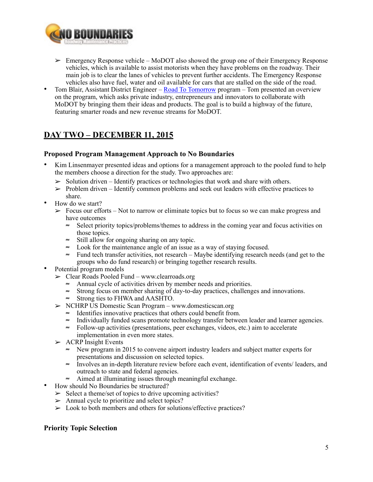

- ➢ Emergency Response vehicle MoDOT also showed the group one of their Emergency Response vehicles, which is available to assist motorists when they have problems on the roadway. Their main job is to clear the lanes of vehicles to prevent further accidents. The Emergency Response vehicles also have fuel, water and oil available for cars that are stalled on the side of the road.
- Tom Blair, Assistant District Engineer [Road To Tomorrow](http://www.modot.org/road2tomorrow/) program Tom presented an overview on the program, which asks private industry, entrepreneurs and innovators to collaborate with MoDOT by bringing them their ideas and products. The goal is to build a highway of the future, featuring smarter roads and new revenue streams for MoDOT.

# **DAY TWO – DECEMBER 11, 2015**

## **Proposed Program Management Approach to No Boundaries**

- Kim Linsenmayer presented ideas and options for a management approach to the pooled fund to help the members choose a direction for the study. Two approaches are:
	- $\triangleright$  Solution driven Identify practices or technologies that work and share with others.
	- $\triangleright$  Problem driven Identify common problems and seek out leaders with effective practices to share.
- How do we start?
	- $\geq$  Focus our efforts Not to narrow or eliminate topics but to focus so we can make progress and have outcomes
		- ≈ Select priority topics/problems/themes to address in the coming year and focus activities on those topics.
		- ≈ Still allow for ongoing sharing on any topic.
		- ≈ Look for the maintenance angle of an issue as a way of staying focused.
		- ≈ Fund tech transfer activities, not research Maybe identifying research needs (and get to the groups who do fund research) or bringing together research results.
- Potential program models
	- ➢ Clear Roads Pooled Fund www.clearroads.org
		- ≈ Annual cycle of activities driven by member needs and priorities.
		- ≈ Strong focus on member sharing of day-to-day practices, challenges and innovations.
		- ≈ Strong ties to FHWA and AASHTO.
	- ➢ NCHRP US Domestic Scan Program www.domesticscan.org
		- ≈ Identifies innovative practices that others could benefit from.
		- ≈ Individually funded scans promote technology transfer between leader and learner agencies.
		- ≈ Follow-up activities (presentations, peer exchanges, videos, etc.) aim to accelerate implementation in even more states.
	- $\triangleright$  ACRP Insight Events
		- ≈ New program in 2015 to convene airport industry leaders and subject matter experts for presentations and discussion on selected topics.
		- ≈ Involves an in-depth literature review before each event, identification of events/ leaders, and outreach to state and federal agencies.
		- ≈ Aimed at illuminating issues through meaningful exchange.
- How should No Boundaries be structured?
	- $\geq$  Select a theme/set of topics to drive upcoming activities?
	- $\triangleright$  Annual cycle to prioritize and select topics?
	- $\geq$  Look to both members and others for solutions/effective practices?

## **Priority Topic Selection**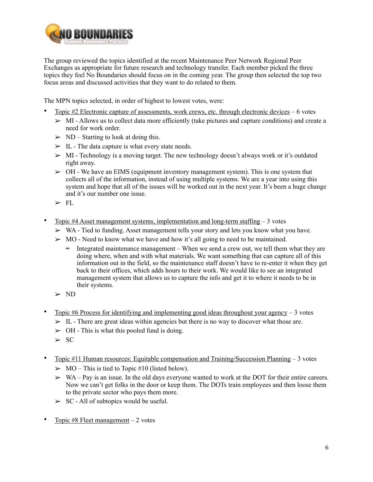

The group reviewed the topics identified at the recent Maintenance Peer Network Regional Peer Exchanges as appropriate for future research and technology transfer. Each member picked the three topics they feel No Boundaries should focus on in the coming year. The group then selected the top two focus areas and discussed activities that they want to do related to them.

The MPN topics selected, in order of highest to lowest votes, were:

- Topic #2 Electronic capture of assessments, work crews, etc. through electronic devices 6 votes
	- $>$  MI Allows us to collect data more efficiently (take pictures and capture conditions) and create a need for work order.
	- $\triangleright$  ND Starting to look at doing this.
	- $\geq$  IL The data capture is what every state needs.
	- $>$  MI Technology is a moving target. The new technology doesn't always work or it's outdated right away.
	- $\geq 0$ H We have an EIMS (equipment inventory management system). This is one system that collects all of the information, instead of using multiple systems. We are a year into using this system and hope that all of the issues will be worked out in the next year. It's been a huge change and it's our number one issue.
	- $\blacktriangleright$  FI.
- Topic  $#4$  Asset management systems, implementation and long-term staffing  $-3$  votes
	- $\triangleright$  WA Tied to funding. Asset management tells your story and lets you know what you have.
	- $\triangleright$  MO Need to know what we have and how it's all going to need to be maintained.
		- ≈ Integrated maintenance management When we send a crew out, we tell them what they are doing where, when and with what materials. We want something that can capture all of this information out in the field, so the maintenance staff doesn't have to re-enter it when they get back to their offices, which adds hours to their work. We would like to see an integrated management system that allows us to capture the info and get it to where it needs to be in their systems.
	- ➢ ND
- Topic #6 Process for identifying and implementing good ideas throughout your agency  $-3$  votes
	- $>$  IL There are great ideas within agencies but there is no way to discover what those are.
	- $\geq$  OH This is what this pooled fund is doing.
	- $\geq$  SC
- Topic #11 Human resources: Equitable compensation and Training/Succession Planning 3 votes
	- $\geq MO$  This is tied to Topic #10 (listed below).
	- $\triangleright$  WA Pay is an issue. In the old days everyone wanted to work at the DOT for their entire careers. Now we can't get folks in the door or keep them. The DOTs train employees and then loose them to the private sector who pays them more.
	- $\geq$  SC All of subtopics would be useful.
- Topic #8 Fleet management  $-2$  votes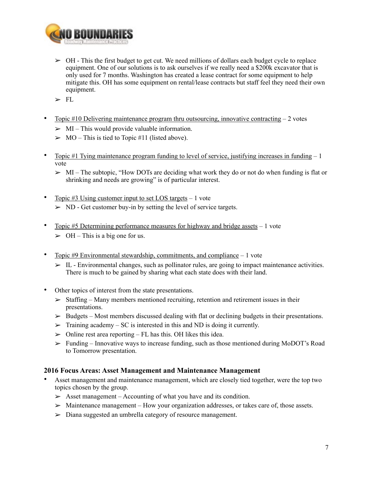

- $\geq$  OH This the first budget to get cut. We need millions of dollars each budget cycle to replace equipment. One of our solutions is to ask ourselves if we really need a \$200k excavator that is only used for 7 months. Washington has created a lease contract for some equipment to help mitigate this. OH has some equipment on rental/lease contracts but staff feel they need their own equipment.
- ➢ FL
- Topic #10 Delivering maintenance program thru outsourcing, innovative contracting  $-2$  votes
	- $\triangleright$  MI This would provide valuable information.
	- $\triangleright$  MO This is tied to Topic #11 (listed above).
- Topic #1 Tying maintenance program funding to level of service, justifying increases in funding  $-1$ vote
	- $\triangleright$  MI The subtopic, "How DOTs are deciding what work they do or not do when funding is flat or shrinking and needs are growing" is of particular interest.
- Topic  $#3$  Using customer input to set LOS targets  $-1$  vote  $>$  ND - Get customer buy-in by setting the level of service targets.
- Topic #5 Determining performance measures for highway and bridge assets 1 vote  $\geq$  OH – This is a big one for us.
- Topic  $#9$  Environmental stewardship, commitments, and compliance  $-1$  vote
	- $\triangleright$  IL Environmental changes, such as pollinator rules, are going to impact maintenance activities. There is much to be gained by sharing what each state does with their land.
- Other topics of interest from the state presentations.
	- $\geq$  Staffing Many members mentioned recruiting, retention and retirement issues in their presentations.
	- $\triangleright$  Budgets Most members discussed dealing with flat or declining budgets in their presentations.
	- $\triangleright$  Training academy SC is interested in this and ND is doing it currently.
	- $\geq$  Online rest area reporting FL has this. OH likes this idea.
	- $\triangleright$  Funding Innovative ways to increase funding, such as those mentioned during MoDOT's Road to Tomorrow presentation.

## **2016 Focus Areas: Asset Management and Maintenance Management**

- Asset management and maintenance management, which are closely tied together, were the top two topics chosen by the group.
	- $\geq$  Asset management Accounting of what you have and its condition.
	- $\triangleright$  Maintenance management How your organization addresses, or takes care of, those assets.
	- ➢ Diana suggested an umbrella category of resource management.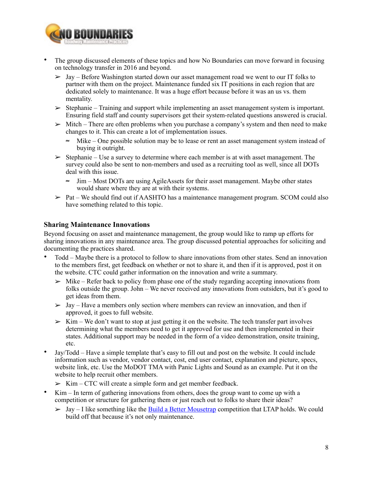

- The group discussed elements of these topics and how No Boundaries can move forward in focusing on technology transfer in 2016 and beyond.
	- $>$  Jay Before Washington started down our asset management road we went to our IT folks to partner with them on the project. Maintenance funded six IT positions in each region that are dedicated solely to maintenance. It was a huge effort because before it was an us vs. them mentality.
	- $\geq$  Stephanie Training and support while implementing an asset management system is important. Ensuring field staff and county supervisors get their system-related questions answered is crucial.
	- $\triangleright$  Mitch There are often problems when you purchase a company's system and then need to make changes to it. This can create a lot of implementation issues.
		- ≈ Mike One possible solution may be to lease or rent an asset management system instead of buying it outright.
	- $\geq$  Stephanie Use a survey to determine where each member is at with asset management. The survey could also be sent to non-members and used as a recruiting tool as well, since all DOTs deal with this issue.
		- ≈ Jim Most DOTs are using AgileAssets for their asset management. Maybe other states would share where they are at with their systems.
	- $\ge$  Pat We should find out if AASHTO has a maintenance management program. SCOM could also have something related to this topic.

## **Sharing Maintenance Innovations**

Beyond focusing on asset and maintenance management, the group would like to ramp up efforts for sharing innovations in any maintenance area. The group discussed potential approaches for soliciting and documenting the practices shared.

- Todd Maybe there is a protocol to follow to share innovations from other states. Send an innovation to the members first, get feedback on whether or not to share it, and then if it is approved, post it on the website. CTC could gather information on the innovation and write a summary.
	- $\triangleright$  Mike Refer back to policy from phase one of the study regarding accepting innovations from folks outside the group. John – We never received any innovations from outsiders, but it's good to get ideas from them.
	- $>$  Jay Have a members only section where members can review an innovation, and then if approved, it goes to full website.
	- $\triangleright$  Kim We don't want to stop at just getting it on the website. The tech transfer part involves determining what the members need to get it approved for use and then implemented in their states. Additional support may be needed in the form of a video demonstration, onsite training, etc.
- Jay/Todd Have a simple template that's easy to fill out and post on the website. It could include information such as vendor, vendor contact, cost, end user contact, explanation and picture, specs, website link, etc. Use the MoDOT TMA with Panic Lights and Sound as an example. Put it on the website to help recruit other members.
	- $\geq$  Kim CTC will create a simple form and get member feedback.
- Kim In term of gathering innovations from others, does the group want to come up with a competition or structure for gathering them or just reach out to folks to share their ideas?
	- $>$  Jay I like something like the [Build a Better Mousetrap](http://www.ltap.org/resources/mousetrap.php) competition that LTAP holds. We could build off that because it's not only maintenance.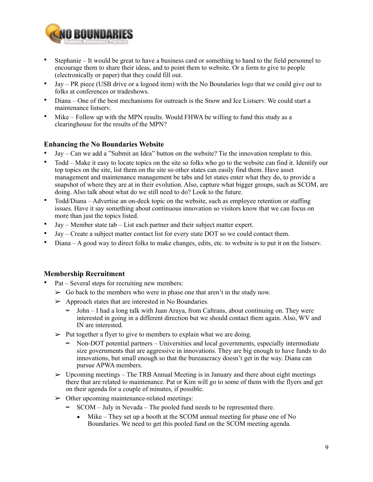

- Stephanie It would be great to have a business card or something to hand to the field personnel to encourage them to share their ideas, and to point them to website. Or a form to give to people (electronically or paper) that they could fill out.
- Jay PR piece (USB drive or a logoed item) with the No Boundaries logo that we could give out to folks at conferences or tradeshows.
- Diana One of the best mechanisms for outreach is the Snow and Ice Listserv. We could start a maintenance listserv.
- Mike Follow up with the MPN results. Would FHWA be willing to fund this study as a clearinghouse for the results of the MPN?

## **Enhancing the No Boundaries Website**

- Jay Can we add a "Submit an Idea" button on the website? Tie the innovation template to this.
- Todd Make it easy to locate topics on the site so folks who go to the website can find it. Identify our top topics on the site, list them on the site so other states can easily find them. Have asset management and maintenance management be tabs and let states enter what they do, to provide a snapshot of where they are at in their evolution. Also, capture what bigger groups, such as SCOM, are doing. Also talk about what do we still need to do? Look to the future.
- Todd/Diana Advertise an on-deck topic on the website, such as employee retention or staffing issues. Have it say something about continuous innovation so visitors know that we can focus on more than just the topics listed.
- Jay Member state tab List each partner and their subject matter expert.
- Jay Create a subject matter contact list for every state DOT so we could contact them.
- Diana A good way to direct folks to make changes, edits, etc. to website is to put it on the listserv.

## **Membership Recruitment**

- Pat Several steps for recruiting new members:
	- $\triangleright$  Go back to the members who were in phase one that aren't in the study now.
	- ➢ Approach states that are interested in No Boundaries.
		- ≈ John I had a long talk with Juan Araya, from Caltrans, about continuing on. They were interested in going in a different direction but we should contact them again. Also, WV and IN are interested.
	- $\triangleright$  Put together a flyer to give to members to explain what we are doing.
		- ≈ Non-DOT potential partners Universities and local governments, especially intermediate size governments that are aggressive in innovations. They are big enough to have funds to do innovations, but small enough so that the bureaucracy doesn't get in the way. Diana can pursue APWA members.
	- $\triangleright$  Upcoming meetings The TRB Annual Meeting is in January and there about eight meetings there that are related to maintenance. Pat or Kim will go to some of them with the flyers and get on their agenda for a couple of minutes, if possible.
	- $\geq 0$  other upcoming maintenance-related meetings:
		- ≈ SCOM July in Nevada The pooled fund needs to be represented there.
			- $\blacksquare$  Mike They set up a booth at the SCOM annual meeting for phase one of No Boundaries. We need to get this pooled fund on the SCOM meeting agenda.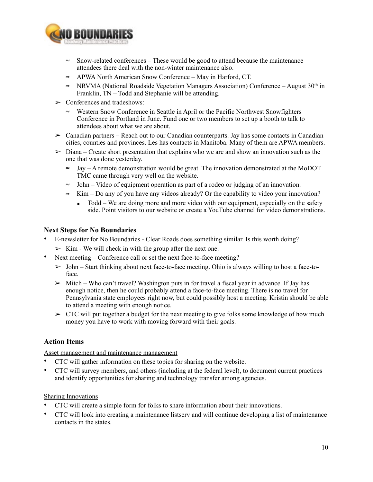

- ≈ Snow-related conferences These would be good to attend because the maintenance attendees there deal with the non-winter maintenance also.
- ≈ APWA North American Snow Conference May in Harford, CT.
- ≈ NRVMA (National Roadside Vegetation Managers Association) Conference August 30th in Franklin, TN – Todd and Stephanie will be attending.
- $\triangleright$  Conferences and tradeshows:
	- ≈ Western Snow Conference in Seattle in April or the Pacific Northwest Snowfighters Conference in Portland in June. Fund one or two members to set up a booth to talk to attendees about what we are about.
- $\geq$  Canadian partners Reach out to our Canadian counterparts. Jay has some contacts in Canadian cities, counties and provinces. Les has contacts in Manitoba. Many of them are APWA members.
- $\geq$  Diana Create short presentation that explains who we are and show an innovation such as the one that was done yesterday.
	- ≈ Jay A remote demonstration would be great. The innovation demonstrated at the MoDOT TMC came through very well on the website.
	- ≈ John Video of equipment operation as part of a rodeo or judging of an innovation.
	- ≈ Kim Do any of you have any videos already? Or the capability to video your innovation?
		- $\blacksquare$  Todd We are doing more and more video with our equipment, especially on the safety side. Point visitors to our website or create a YouTube channel for video demonstrations.

### **Next Steps for No Boundaries**

- E-newsletter for No Boundaries Clear Roads does something similar. Is this worth doing?
	- $\geq$  Kim We will check in with the group after the next one.
- Next meeting Conference call or set the next face-to-face meeting?
	- $>$  John Start thinking about next face-to-face meeting. Ohio is always willing to host a face-toface.
	- $\triangleright$  Mitch Who can't travel? Washington puts in for travel a fiscal year in advance. If Jay has enough notice, then he could probably attend a face-to-face meeting. There is no travel for Pennsylvania state employees right now, but could possibly host a meeting. Kristin should be able to attend a meeting with enough notice.
	- $\geq$  CTC will put together a budget for the next meeting to give folks some knowledge of how much money you have to work with moving forward with their goals.

### **Action Items**

Asset management and maintenance management

- CTC will gather information on these topics for sharing on the website.
- CTC will survey members, and others (including at the federal level), to document current practices and identify opportunities for sharing and technology transfer among agencies.

#### Sharing Innovations

- CTC will create a simple form for folks to share information about their innovations.
- CTC will look into creating a maintenance listserv and will continue developing a list of maintenance contacts in the states.